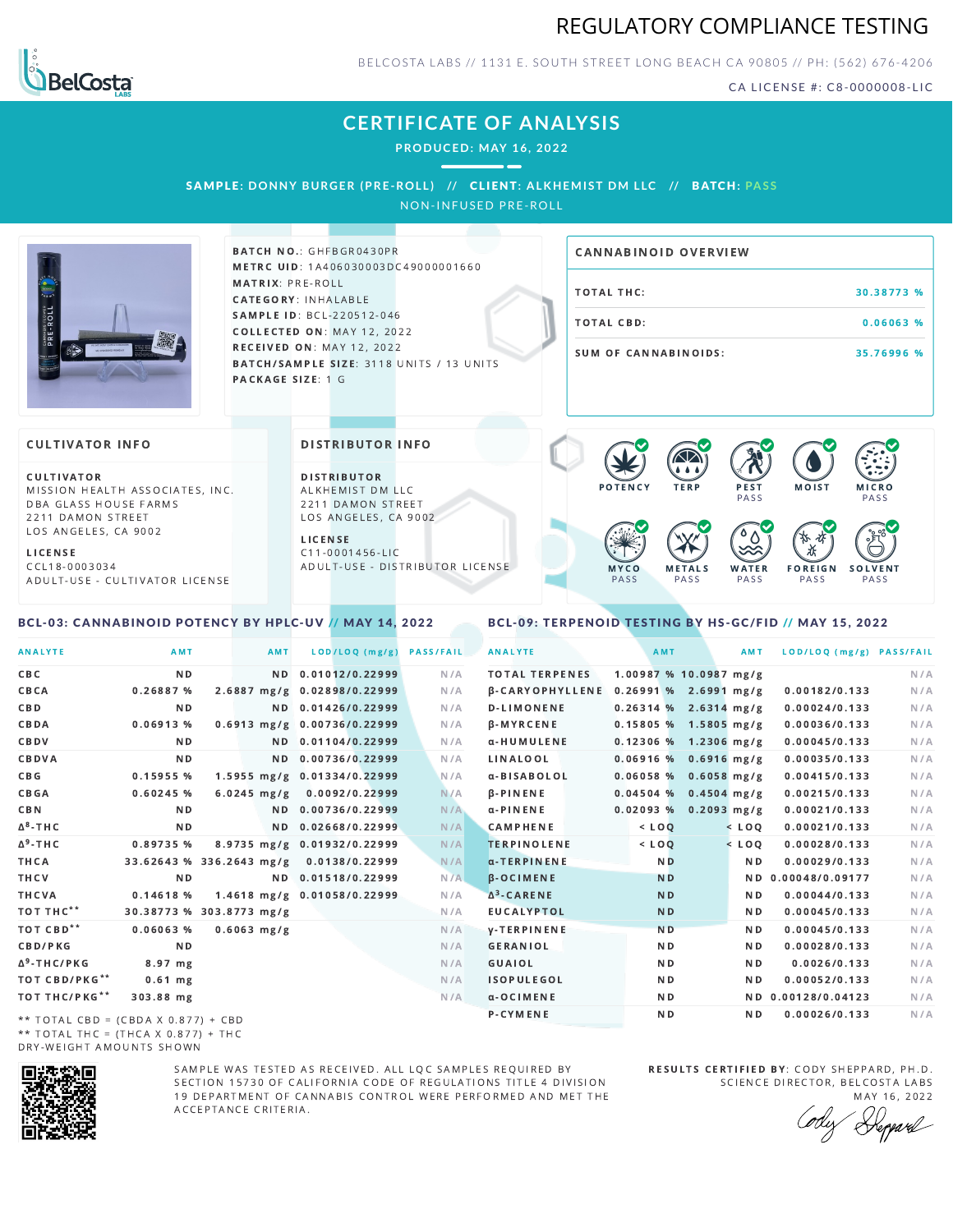



BELCOSTA LABS // 1131 E. SOUTH STREET LONG BEACH C A 90805 // PH: (562) 676-4206

CA LICENSE #: C8-0000008-LIC

## **CERTIFICATE OF ANALYSIS**

**PRODUCED: MAY 16, 2022**

SAMPLE: DONNY BURGER (PRE-ROLL) // CLIENT: ALKHEMIST DM LLC // BATCH: PASS

NON-INFUSED PRE-ROLL



BATCH NO.: GHFBGR0430PR METRC UID: 1A406030003DC49000001660 MATRIX: PRE-ROLL CATEGORY: INHALABLE SAMPLE ID: BCL-220512-046 COLLECTED ON: MAY 12, 2022 **RECEIVED ON: MAY 12, 2022** BATCH/SAMPLE SIZE: 3118 UNITS / 13 UNITS PACKAGE SIZE: 1 G

# TOTAL THC: 30.38773 % TOTAL CBD: 0.06063 % SUM OF CANNABINOIDS: 35.76996 % CANNABINOID OVERVIEW

### **CULTIVATOR INFO**

CULTIVATOR MISSION HEALTH ASSOCIATES, INC. DBA GLASS HOUSE FARMS 2211 DAMON STREET LOS ANGELES, CA 9002

L I C E N S E C C L 1 8 - 0 0 0 3 0 3 4 A D U L T - U S E - C U L T I V A T O R L I CENSE

<span id="page-0-0"></span>BCL-03: CANNABINOID POTENCY BY HPLC-UV // MAY 14, 2022

DISTRIBUTOR INFO

D I STRIBUTOR ALKHEMIST DM LLC 2211 DAMON STREET LOS ANGELES, CA 9002 L I C E N S E

C 1 1 - 0 0 0 1 4 5 6 - L I C A D U L T - U S E - D I STRIBUTOR LICENSE



#### <span id="page-0-1"></span>BCL-09: TERPENOID TESTING BY HS-GC/FID // MAY 15, 2022

| <b>ANALYTE</b>                        | AMT                      | AMT                         |                    | LOD/LOQ (mg/g) | <b>PASS/FAIL</b> | <b>ANALYTE</b>                        | AMT                     | AMT            | LOD/LOQ (mg/g) PASS/FAIL |     |
|---------------------------------------|--------------------------|-----------------------------|--------------------|----------------|------------------|---------------------------------------|-------------------------|----------------|--------------------------|-----|
| C B C                                 | N <sub>D</sub>           |                             | ND 0.01012/0.22999 |                | N/A              | <b>TOTAL TERPENES</b>                 | 1.00987 % 10.0987 mg/g  |                |                          | N/A |
| CBCA                                  | 0.26887 %                | 2.6887 mg/g 0.02898/0.22999 |                    |                | N/A              | B-CARYOPHYLLENE 0.26991 % 2.6991 mg/g |                         |                | 0.00182/0.133            | N/A |
| C B D                                 | N <sub>D</sub>           |                             | ND 0.01426/0.22999 |                | N/A              | <b>D-LIMONENE</b>                     | $0.26314$ % 2.6314 mg/g |                | 0.00024/0.133            | N/A |
| CBDA                                  | $0.06913$ %              | 0.6913 mg/g 0.00736/0.22999 |                    |                | N/A              | <b>B-MYRCENE</b>                      | $0.15805$ % 1.5805 mg/g |                | 0.00036/0.133            | N/A |
| CBDV                                  | ND.                      |                             | ND 0.01104/0.22999 |                | N/A              | α-HUMULENE                            | $0.12306$ % 1.2306 mg/g |                | 0.00045/0.133            | N/A |
| CBDVA                                 | N <sub>D</sub>           | N <sub>D</sub>              | 0.00736/0.22999    |                | N/A              | LINALOOL                              | $0.06916$ % 0.6916 mg/g |                | 0.00035/0.133            | N/A |
| C B G                                 | 0.15955 %                | 1.5955 mg/g 0.01334/0.22999 |                    |                | N/A              | α-BISABOLOL                           | $0.06058$ % 0.6058 mg/g |                | 0.00415/0.133            | N/A |
| CBGA                                  | 0.60245%                 | $6.0245$ mg/g               |                    | 0.0092/0.22999 | N/A              | <b>B-PINENE</b>                       | $0.04504$ % 0.4504 mg/g |                | 0.00215/0.133            | N/A |
| C B N                                 | ND.                      |                             | ND 0.00736/0.22999 |                | N/A              | $\alpha$ -PINENE                      | $0.02093$ % 0.2093 mg/g |                | 0.00021/0.133            | N/A |
| ∆ <sup>8</sup> -THC                   | N D                      |                             | ND 0.02668/0.22999 |                | N/A              | <b>CAMPHENE</b>                       | $<$ $LOO$               | $<$ LOO        | 0.00021/0.133            | N/A |
| Δ <sup>9</sup> -ΤΗ C                  | 0.89735 %                | 8.9735 mg/g 0.01932/0.22999 |                    |                | N/A              | <b>TERPINOLENE</b>                    | $<$ LOQ                 | $<$ LOQ        | 0.00028/0.133            | N/A |
| ТНСА                                  | 33.62643 % 336.2643 mg/g |                             |                    | 0.0138/0.22999 | N/A              | α-TERPINENE                           | N <sub>D</sub>          | N <sub>D</sub> | 0.00029/0.133            | N/A |
| THCV                                  | N <sub>D</sub>           |                             | ND 0.01518/0.22999 |                | N/A              | <b>B-OCIMENE</b>                      | <b>ND</b>               |                | ND 0.00048/0.09177       | N/A |
| THCVA                                 | 0.14618%                 | 1.4618 mg/g 0.01058/0.22999 |                    |                | N/A              | $\Delta^3$ -CARENE                    | <b>ND</b>               | ND.            | 0.00044/0.133            | N/A |
| тот тнс**                             | 30.38773 % 303.8773 mg/g |                             |                    |                | N/A              | <b>EUCALYPTOL</b>                     | <b>ND</b>               | N D            | 0.00045/0.133            | N/A |
| тот свр**                             | $0.06063$ %              | $0.6063$ mg/g               |                    |                | N/A              | <b>V-TERPINENE</b>                    | <b>ND</b>               | N D            | 0.00045/0.133            | N/A |
| <b>CBD/PKG</b>                        | N <sub>D</sub>           |                             |                    |                | N/A              | <b>GERANIOL</b>                       | N <sub>D</sub>          | N <sub>D</sub> | 0.00028/0.133            | N/A |
| Δ <sup>9</sup> -THC/PKG               | 8.97 mg                  |                             |                    |                | N/A              | GUAIOL                                | N <sub>D</sub>          | N <sub>D</sub> | 0.0026/0.133             | N/A |
| ТОТ СВD/РКG**                         | $0.61$ mg                |                             |                    |                | N/A              | <b>ISOPULEGOL</b>                     | N <sub>D</sub>          | N D            | 0.00052/0.133            | N/A |
| ТОТ ТНС/РКG**                         | 303.88 mg                |                             |                    |                | N/A              | α-OCIMENE                             | N <sub>D</sub>          |                | ND 0.00128/0.04123       | N/A |
| $**$ TOTAL CRD = (CRDA V 0.977) + CRD |                          |                             |                    |                |                  | P-CYMENE                              | N <sub>D</sub>          | N <sub>D</sub> | 0.00026/0.133            | N/A |

\*\* TOTAL CBD = (CBDA X 0.877) + CBD \*\* TOTAL THC =  $(THCA \times 0.877) + THC$ DRY-WEIGHT AMOUNTS SHOWN



SAMPLE WAS TESTED AS RECEIVED. ALL LOC SAMPLES REQUIRED BY SECTION 15730 OF CALIFORNIA CODE OF REGULATIONS TITLE 4 DIVISION 19 DEPARTMENT OF CANNABIS CONTROL WERE PERFORMED AND MET THE A C C E P T A N C E C R I T E R I A.

RESULTS CERTIFIED BY: CODY SHEPPARD, PH.D. SCIENCE DIRECTOR, BELCOSTA LABS

MAY 16, 2022 Heppard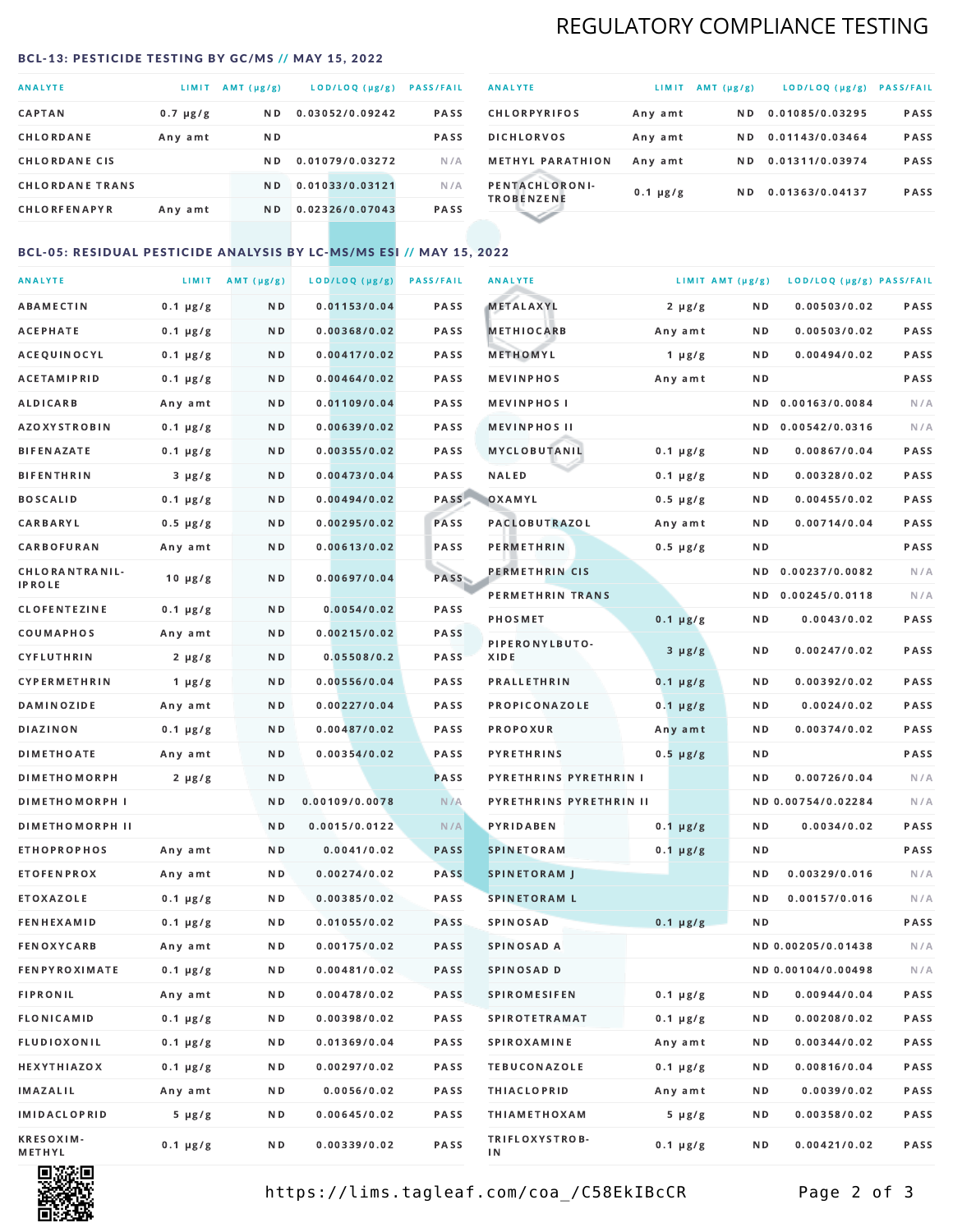## REGULATORY COMPLIANCE TESTING

#### <span id="page-1-0"></span>BCL-13: PESTICIDE TESTING BY GC/MS // MAY 15, 2022

| <b>ANALYTE</b>         | <b>LIMIT</b>  | AMT (µg/g)     | LOD/LOQ (µg/g)  | <b>PASS/FAIL</b> |
|------------------------|---------------|----------------|-----------------|------------------|
| <b>CAPTAN</b>          | $0.7 \mu g/g$ | N <sub>D</sub> | 0.03052/0.09242 | <b>PASS</b>      |
| CHLORDANE              | Any amt       | N D            |                 | <b>PASS</b>      |
| <b>CHLORDANE CIS</b>   |               | ND.            | 0.01079/0.03272 | N/A              |
| <b>CHLORDANE TRANS</b> |               | N <sub>D</sub> | 0.01033/0.03121 | N/A              |
| <b>CHLORFENAPYR</b>    | Any amt       | N D            | 0.02326/0.07043 | <b>PASS</b>      |

| <b>ANALYTE</b>                      | LIMIT         | $AMT(\mu g/g)$ | LOD/LOQ (µg/g)  | <b>PASS/FAIL</b> |
|-------------------------------------|---------------|----------------|-----------------|------------------|
| <b>CHLORPYRIFOS</b>                 | Any amt       | N D            | 0.01085/0.03295 | <b>PASS</b>      |
| <b>DICHLORVOS</b>                   | Any amt       | N D.           | 0.01143/0.03464 | PASS             |
| <b>METHYL PARATHION</b>             | Any amt       | ND.            | 0.01311/0.03974 | <b>PASS</b>      |
| PENTACHLORONI-<br><b>TROBENZENE</b> | $0.1 \mu g/g$ | ND.            | 0.01363/0.04137 | <b>PASS</b>      |
|                                     |               |                |                 |                  |

### BCL-05: RESIDUAL PESTICIDE ANALYSIS BY LC-MS/MS ESI // MAY 15, 2022

| <b>ANALYTE</b>             |               | LIMIT AMT $(\mu g/g)$ | LOD/LOQ (µg/g) | <b>PASS/FAIL</b> | <b>ANALYTE</b>          | LIMIT AMT (µg/g) |     | LOD/LOQ (µg/g) PASS/FAIL |      |
|----------------------------|---------------|-----------------------|----------------|------------------|-------------------------|------------------|-----|--------------------------|------|
| ABAMECTIN                  | $0.1 \mu g/g$ | N D                   | 0.01153/0.04   | PASS             | <b>METALAXYL</b>        | $2 \mu g/g$      | N D | 0.00503/0.02             | PASS |
| <b>ACEPHATE</b>            | $0.1 \mu g/g$ | N D                   | 0.00368/0.02   | PASS             | <b>METHIOCARB</b>       | Any amt          | N D | 0.00503/0.02             | PASS |
| ACEQUINOCYL                | $0.1 \mu g/g$ | N D                   | 0.00417/0.02   | PASS             | METHOMYL                | $1 \mu g/g$      | N D | 0.00494/0.02             | PASS |
| ACETAMIPRID                | $0.1 \mu g/g$ | N D                   | 0.00464/0.02   | PASS             | <b>MEVINPHOS</b>        | Any amt          | N D |                          | PASS |
| <b>ALDICARB</b>            | Any amt       | N D                   | 0.01109/0.04   | <b>PASS</b>      | <b>MEVINPHOSI</b>       |                  | N D | 0.00163/0.0084           | N/A  |
| AZOXYSTROBIN               | $0.1 \mu g/g$ | N D                   | 0.00639/0.02   | PASS             | <b>MEVINPHOS II</b>     |                  | N D | 0.00542/0.0316           | N/A  |
| <b>BIFENAZATE</b>          | $0.1 \mu g/g$ | N D                   | 0.00355/0.02   | PASS             | <b>MYCLOBUTANIL</b>     | $0.1 \mu g/g$    | N D | 0.00867/0.04             | PASS |
| <b>BIFENTHRIN</b>          | $3 \mu g/g$   | N D                   | 0.00473/0.04   | PASS             | <b>NALED</b>            | $0.1 \mu g/g$    | N D | 0.00328/0.02             | PASS |
| <b>BOSCALID</b>            | $0.1 \mu g/g$ | N D                   | 0.00494/0.02   | PASS             | OXAMYL                  | $0.5 \mu g/g$    | N D | 0.00455/0.02             | PASS |
| CARBARYL                   | $0.5 \mu g/g$ | N D                   | 0.00295/0.02   | PASS             | PACLOBUTRAZOL           | Any amt          | N D | 0.00714/0.04             | PASS |
| CARBOFURAN                 | Any amt       | N D                   | 0.00613/0.02   | PASS             | PERMETHRIN              | $0.5 \mu g/g$    | N D |                          | PASS |
| CHLORANTRANIL-             | $10 \mu g/g$  | N D                   | 0.00697/0.04   | PASS             | PERMETHRIN CIS          |                  | N D | 0.00237/0.0082           | N/A  |
| IPROLE                     |               |                       |                |                  | PERMETHRIN TRANS        |                  |     | ND 0.00245/0.0118        | N/A  |
| <b>CLOFENTEZINE</b>        | $0.1 \mu g/g$ | ND.                   | 0.0054/0.02    | PASS             | <b>PHOSMET</b>          | $0.1 \mu g/g$    | N D | 0.0043/0.02              | PASS |
| COUMAPHOS                  | Any amt       | N D                   | 0.00215/0.02   | <b>PASS</b>      | PIPERONYLBUTO-          | $3 \mu g/g$      | N D | 0.00247/0.02             | PASS |
| CYFLUTHRIN                 | $2 \mu g/g$   | ND.                   | 0.05508/0.2    | PASS             | XIDE                    |                  |     |                          |      |
| CYPERMETHRIN               | $1 \mu g/g$   | N D                   | 0.00556/0.04   | PASS             | <b>PRALLETHRIN</b>      | $0.1 \mu g/g$    | N D | 0.00392/0.02             | PASS |
| <b>DAMINOZIDE</b>          | Any amt       | N D                   | 0.00227/0.04   | PASS             | PROPICONAZOLE           | $0.1 \mu g/g$    | N D | 0.0024/0.02              | PASS |
| <b>DIAZINON</b>            | $0.1 \mu g/g$ | N D                   | 0.00487/0.02   | PASS             | PROPOXUR                | Any amt          | N D | 0.00374/0.02             | PASS |
| <b>DIMETHOATE</b>          | Any amt       | N D                   | 0.00354/0.02   | PASS             | <b>PYRETHRINS</b>       | $0.5 \mu g/g$    | N D |                          | PASS |
| <b>DIMETHOMORPH</b>        | $2 \mu g/g$   | N D                   |                | PASS             | PYRETHRINS PYRETHRIN I  |                  | ND. | 0.00726/0.04             | N/A  |
| <b>DIMETHOMORPH I</b>      |               | N D                   | 0.00109/0.0078 | N/A              | PYRETHRINS PYRETHRIN II |                  |     | ND 0.00754/0.02284       | N/A  |
| <b>DIMETHOMORPH II</b>     |               | N D                   | 0.0015/0.0122  | N/A              | <b>PYRIDABEN</b>        | $0.1 \mu g/g$    | N D | 0.0034/0.02              | PASS |
| <b>ETHOPROPHOS</b>         | Any amt       | N D                   | 0.0041/0.02    | <b>PASS</b>      | <b>SPINETORAM</b>       | $0.1 \mu g/g$    | N D |                          | PASS |
| <b>ETOFENPROX</b>          | Any amt       | N D                   | 0.00274/0.02   | <b>PASS</b>      | <b>SPINETORAM J</b>     |                  | N D | 0.00329/0.016            | N/A  |
| ETOXAZOLE                  | $0.1 \mu g/g$ | N D                   | 0.00385/0.02   | <b>PASS</b>      | <b>SPINETORAM L</b>     |                  | ND  | 0.00157/0.016            | N/A  |
| <b>FENHEXAMID</b>          | $0.1 \mu g/g$ | N D                   | 0.01055/0.02   | <b>PASS</b>      | SPINOSAD                | $0.1 \mu g/g$    | N D |                          | PASS |
| <b>FENOXYCARB</b>          | Any amt       | N D                   | 0.00175/0.02   | PASS             | SPINOSAD A              |                  |     | ND 0.00205/0.01438       | N/A  |
| <b>FENPYROXIMATE</b>       | $0.1 \mu g/g$ | N D                   | 0.00481/0.02   | PASS             | SPINOSAD D              |                  |     | ND 0.00104/0.00498       | N/A  |
| <b>FIPRONIL</b>            | Any amt       | N D                   | 0.00478/0.02   | PASS             | <b>SPIROMESIFEN</b>     | $0.1 \mu g/g$    | N D | 0.00944/0.04             | PASS |
| <b>FLONICAMID</b>          | $0.1 \mu g/g$ | N D                   | 0.00398/0.02   | PASS             | <b>SPIROTETRAMAT</b>    | $0.1 \mu g/g$    | N D | 0.00208/0.02             | PASS |
| FLUDIOXONIL                | $0.1 \mu g/g$ | N D                   | 0.01369/0.04   | PASS             | <b>SPIROXAMINE</b>      | Any amt          | N D | 0.00344/0.02             | PASS |
| HEXYTHIAZOX                | $0.1 \mu g/g$ | N D                   | 0.00297/0.02   | PASS             | <b>TEBUCONAZOLE</b>     | $0.1 \mu g/g$    | N D | 0.00816/0.04             | PASS |
| IMAZALIL                   | Any amt       | N D                   | 0.0056/0.02    | PASS             | <b>THIACLOPRID</b>      | Any amt          | N D | 0.0039/0.02              | PASS |
| IMIDACLOPRID               | $5 \mu g/g$   | N D                   | 0.00645/0.02   | PASS             | <b>THIAMETHOXAM</b>     | $5 \mu g/g$      | N D | 0.00358/0.02             | PASS |
| <b>KRESOXIM-</b><br>METHYL | $0.1 \mu g/g$ | N D                   | 0.00339/0.02   | PASS             | TRIFLOXYSTROB-<br>ΙN    | $0.1 \mu g/g$    | N D | 0.00421/0.02             | PASS |